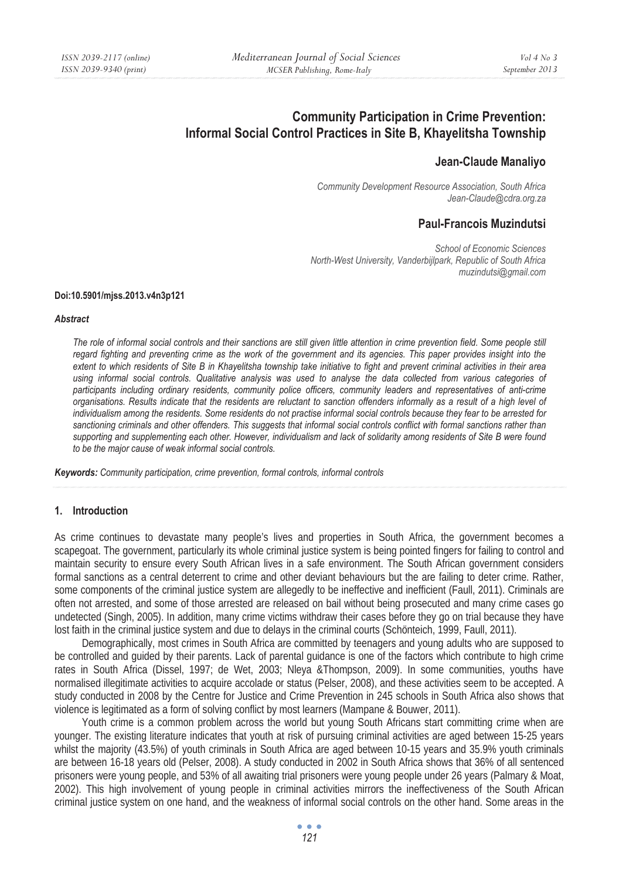# **Community Participation in Crime Prevention: Informal Social Control Practices in Site B, Khayelitsha Township**

# **Jean-Claude Manaliyo**

*Community Development Resource Association, South Africa Jean-Claude@cdra.org.za* 

# **Paul-Francois Muzindutsi**

 *School of Economic Sciences North-West University, Vanderbijlpark, Republic of South Africa muzindutsi@gmail.com* 

#### **Doi:10.5901/mjss.2013.v4n3p121**

#### *Abstract*

The role of informal social controls and their sanctions are still given little attention in crime prevention field. Some people still regard fighting and preventing crime as the work of the government and its agencies. This paper provides insight into the *extent to which residents of Site B in Khayelitsha township take initiative to fight and prevent criminal activities in their area using informal social controls. Qualitative analysis was used to analyse the data collected from various categories of*  participants including ordinary residents, community police officers, community leaders and representatives of anti-crime *organisations. Results indicate that the residents are reluctant to sanction offenders informally as a result of a high level of individualism among the residents. Some residents do not practise informal social controls because they fear to be arrested for sanctioning criminals and other offenders. This suggests that informal social controls conflict with formal sanctions rather than supporting and supplementing each other. However, individualism and lack of solidarity among residents of Site B were found to be the major cause of weak informal social controls.* 

*Keywords: Community participation, crime prevention, formal controls, informal controls* 

#### **1. Introduction**

As crime continues to devastate many people's lives and properties in South Africa, the government becomes a scapegoat. The government, particularly its whole criminal justice system is being pointed fingers for failing to control and maintain security to ensure every South African lives in a safe environment. The South African government considers formal sanctions as a central deterrent to crime and other deviant behaviours but the are failing to deter crime. Rather, some components of the criminal justice system are allegedly to be ineffective and inefficient (Faull, 2011). Criminals are often not arrested, and some of those arrested are released on bail without being prosecuted and many crime cases go undetected (Singh, 2005). In addition, many crime victims withdraw their cases before they go on trial because they have lost faith in the criminal justice system and due to delays in the criminal courts (Schönteich, 1999, Faull, 2011).

Demographically, most crimes in South Africa are committed by teenagers and young adults who are supposed to be controlled and guided by their parents. Lack of parental guidance is one of the factors which contribute to high crime rates in South Africa (Dissel, 1997; de Wet, 2003; Nleya &Thompson, 2009). In some communities, youths have normalised illegitimate activities to acquire accolade or status (Pelser, 2008), and these activities seem to be accepted. A study conducted in 2008 by the Centre for Justice and Crime Prevention in 245 schools in South Africa also shows that violence is legitimated as a form of solving conflict by most learners (Mampane & Bouwer, 2011).

Youth crime is a common problem across the world but young South Africans start committing crime when are younger. The existing literature indicates that youth at risk of pursuing criminal activities are aged between 15-25 years whilst the majority (43.5%) of youth criminals in South Africa are aged between 10-15 years and 35.9% youth criminals are between 16-18 years old (Pelser, 2008). A study conducted in 2002 in South Africa shows that 36% of all sentenced prisoners were young people, and 53% of all awaiting trial prisoners were young people under 26 years (Palmary & Moat, 2002). This high involvement of young people in criminal activities mirrors the ineffectiveness of the South African criminal justice system on one hand, and the weakness of informal social controls on the other hand. Some areas in the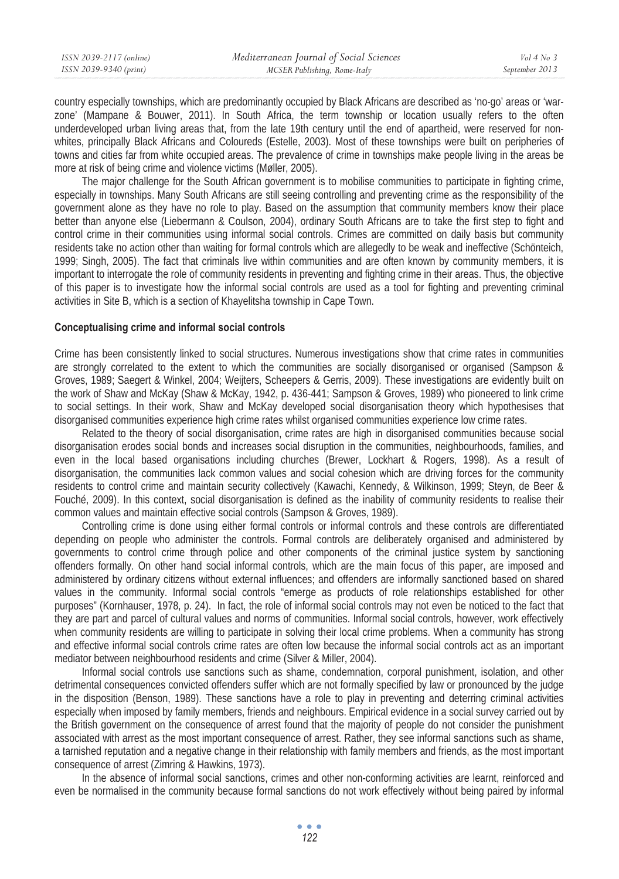| ISSN 2039-2117 (online) | Mediterranean Journal of Social Sciences | Vol 4 No 3     |
|-------------------------|------------------------------------------|----------------|
| ISSN 2039-9340 (print)  | MCSER Publishing, Rome-Italy             | September 2013 |
|                         |                                          |                |

country especially townships, which are predominantly occupied by Black Africans are described as 'no-go' areas or 'warzone' (Mampane & Bouwer, 2011). In South Africa, the term township or location usually refers to the often underdeveloped urban living areas that, from the late 19th century until the end of apartheid, were reserved for nonwhites, principally Black Africans and Coloureds (Estelle, 2003). Most of these townships were built on peripheries of towns and cities far from white occupied areas. The prevalence of crime in townships make people living in the areas be more at risk of being crime and violence victims (Møller, 2005).

The major challenge for the South African government is to mobilise communities to participate in fighting crime, especially in townships. Many South Africans are still seeing controlling and preventing crime as the responsibility of the government alone as they have no role to play. Based on the assumption that community members know their place better than anyone else (Liebermann & Coulson, 2004), ordinary South Africans are to take the first step to fight and control crime in their communities using informal social controls. Crimes are committed on daily basis but community residents take no action other than waiting for formal controls which are allegedly to be weak and ineffective (Schönteich, 1999; Singh, 2005). The fact that criminals live within communities and are often known by community members, it is important to interrogate the role of community residents in preventing and fighting crime in their areas. Thus, the objective of this paper is to investigate how the informal social controls are used as a tool for fighting and preventing criminal activities in Site B, which is a section of Khayelitsha township in Cape Town.

#### **Conceptualising crime and informal social controls**

Crime has been consistently linked to social structures. Numerous investigations show that crime rates in communities are strongly correlated to the extent to which the communities are socially disorganised or organised (Sampson & Groves, 1989; Saegert & Winkel, 2004; Weijters, Scheepers & Gerris, 2009). These investigations are evidently built on the work of Shaw and McKay (Shaw & McKay, 1942, p. 436-441; Sampson & Groves, 1989) who pioneered to link crime to social settings. In their work, Shaw and McKay developed social disorganisation theory which hypothesises that disorganised communities experience high crime rates whilst organised communities experience low crime rates.

Related to the theory of social disorganisation, crime rates are high in disorganised communities because social disorganisation erodes social bonds and increases social disruption in the communities, neighbourhoods, families, and even in the local based organisations including churches (Brewer, Lockhart & Rogers, 1998). As a result of disorganisation, the communities lack common values and social cohesion which are driving forces for the community residents to control crime and maintain security collectively (Kawachi, Kennedy, & Wilkinson, 1999; Steyn, de Beer & Fouché, 2009). In this context, social disorganisation is defined as the inability of community residents to realise their common values and maintain effective social controls (Sampson & Groves, 1989).

Controlling crime is done using either formal controls or informal controls and these controls are differentiated depending on people who administer the controls. Formal controls are deliberately organised and administered by governments to control crime through police and other components of the criminal justice system by sanctioning offenders formally. On other hand social informal controls, which are the main focus of this paper, are imposed and administered by ordinary citizens without external influences; and offenders are informally sanctioned based on shared values in the community. Informal social controls "emerge as products of role relationships established for other purposes" (Kornhauser, 1978, p. 24). In fact, the role of informal social controls may not even be noticed to the fact that they are part and parcel of cultural values and norms of communities. Informal social controls, however, work effectively when community residents are willing to participate in solving their local crime problems. When a community has strong and effective informal social controls crime rates are often low because the informal social controls act as an important mediator between neighbourhood residents and crime (Silver & Miller, 2004).

Informal social controls use sanctions such as shame, condemnation, corporal punishment, isolation, and other detrimental consequences convicted offenders suffer which are not formally specified by law or pronounced by the judge in the disposition (Benson, 1989). These sanctions have a role to play in preventing and deterring criminal activities especially when imposed by family members, friends and neighbours. Empirical evidence in a social survey carried out by the British government on the consequence of arrest found that the majority of people do not consider the punishment associated with arrest as the most important consequence of arrest. Rather, they see informal sanctions such as shame, a tarnished reputation and a negative change in their relationship with family members and friends, as the most important consequence of arrest (Zimring & Hawkins, 1973).

In the absence of informal social sanctions, crimes and other non-conforming activities are learnt, reinforced and even be normalised in the community because formal sanctions do not work effectively without being paired by informal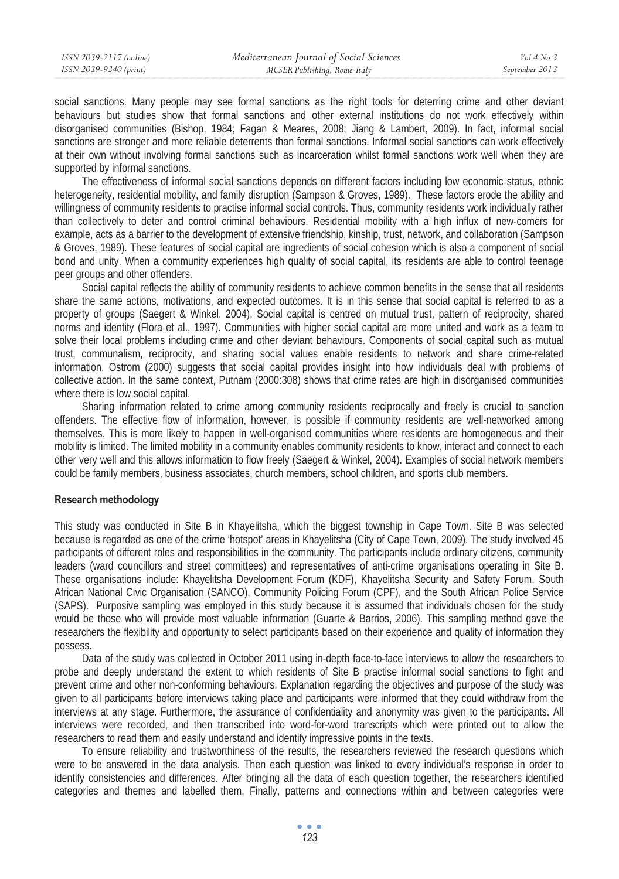social sanctions. Many people may see formal sanctions as the right tools for deterring crime and other deviant behaviours but studies show that formal sanctions and other external institutions do not work effectively within disorganised communities (Bishop, 1984; Fagan & Meares, 2008; Jiang & Lambert, 2009). In fact, informal social sanctions are stronger and more reliable deterrents than formal sanctions. Informal social sanctions can work effectively at their own without involving formal sanctions such as incarceration whilst formal sanctions work well when they are supported by informal sanctions.

The effectiveness of informal social sanctions depends on different factors including low economic status, ethnic heterogeneity, residential mobility, and family disruption (Sampson & Groves, 1989). These factors erode the ability and willingness of community residents to practise informal social controls. Thus, community residents work individually rather than collectively to deter and control criminal behaviours. Residential mobility with a high influx of new-comers for example, acts as a barrier to the development of extensive friendship, kinship, trust, network, and collaboration (Sampson & Groves, 1989). These features of social capital are ingredients of social cohesion which is also a component of social bond and unity. When a community experiences high quality of social capital, its residents are able to control teenage peer groups and other offenders.

Social capital reflects the ability of community residents to achieve common benefits in the sense that all residents share the same actions, motivations, and expected outcomes. It is in this sense that social capital is referred to as a property of groups (Saegert & Winkel, 2004). Social capital is centred on mutual trust, pattern of reciprocity, shared norms and identity (Flora et al., 1997). Communities with higher social capital are more united and work as a team to solve their local problems including crime and other deviant behaviours. Components of social capital such as mutual trust, communalism, reciprocity, and sharing social values enable residents to network and share crime-related information. Ostrom (2000) suggests that social capital provides insight into how individuals deal with problems of collective action. In the same context, Putnam (2000:308) shows that crime rates are high in disorganised communities where there is low social capital.

Sharing information related to crime among community residents reciprocally and freely is crucial to sanction offenders. The effective flow of information, however, is possible if community residents are well-networked among themselves. This is more likely to happen in well-organised communities where residents are homogeneous and their mobility is limited. The limited mobility in a community enables community residents to know, interact and connect to each other very well and this allows information to flow freely (Saegert & Winkel, 2004). Examples of social network members could be family members, business associates, church members, school children, and sports club members.

#### **Research methodology**

This study was conducted in Site B in Khayelitsha, which the biggest township in Cape Town. Site B was selected because is regarded as one of the crime 'hotspot' areas in Khayelitsha (City of Cape Town, 2009). The study involved 45 participants of different roles and responsibilities in the community. The participants include ordinary citizens, community leaders (ward councillors and street committees) and representatives of anti-crime organisations operating in Site B. These organisations include: Khayelitsha Development Forum (KDF), Khayelitsha Security and Safety Forum, South African National Civic Organisation (SANCO), Community Policing Forum (CPF), and the South African Police Service (SAPS). Purposive sampling was employed in this study because it is assumed that individuals chosen for the study would be those who will provide most valuable information (Guarte & Barrios, 2006). This sampling method gave the researchers the flexibility and opportunity to select participants based on their experience and quality of information they possess.

Data of the study was collected in October 2011 using in-depth face-to-face interviews to allow the researchers to probe and deeply understand the extent to which residents of Site B practise informal social sanctions to fight and prevent crime and other non-conforming behaviours. Explanation regarding the objectives and purpose of the study was given to all participants before interviews taking place and participants were informed that they could withdraw from the interviews at any stage. Furthermore, the assurance of confidentiality and anonymity was given to the participants. All interviews were recorded, and then transcribed into word-for-word transcripts which were printed out to allow the researchers to read them and easily understand and identify impressive points in the texts.

To ensure reliability and trustworthiness of the results, the researchers reviewed the research questions which were to be answered in the data analysis. Then each question was linked to every individual's response in order to identify consistencies and differences. After bringing all the data of each question together, the researchers identified categories and themes and labelled them. Finally, patterns and connections within and between categories were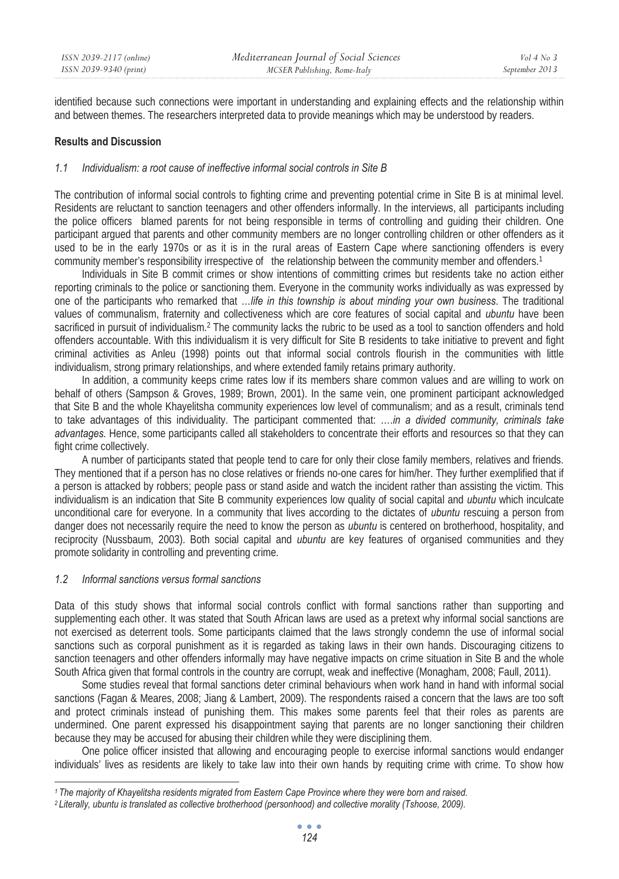identified because such connections were important in understanding and explaining effects and the relationship within and between themes. The researchers interpreted data to provide meanings which may be understood by readers.

### **Results and Discussion**

### *1.1 Individualism: a root cause of ineffective informal social controls in Site B*

The contribution of informal social controls to fighting crime and preventing potential crime in Site B is at minimal level. Residents are reluctant to sanction teenagers and other offenders informally. In the interviews, all participants including the police officers blamed parents for not being responsible in terms of controlling and guiding their children. One participant argued that parents and other community members are no longer controlling children or other offenders as it used to be in the early 1970s or as it is in the rural areas of Eastern Cape where sanctioning offenders is every community member's responsibility irrespective of the relationship between the community member and offenders.<sup>1</sup>

Individuals in Site B commit crimes or show intentions of committing crimes but residents take no action either reporting criminals to the police or sanctioning them. Everyone in the community works individually as was expressed by one of the participants who remarked that …*life in this township is about minding your own business*. The traditional values of communalism, fraternity and collectiveness which are core features of social capital and *ubuntu* have been sacrificed in pursuit of individualism.2 The community lacks the rubric to be used as a tool to sanction offenders and hold offenders accountable. With this individualism it is very difficult for Site B residents to take initiative to prevent and fight criminal activities as Anleu (1998) points out that informal social controls flourish in the communities with little individualism, strong primary relationships, and where extended family retains primary authority.

In addition, a community keeps crime rates low if its members share common values and are willing to work on behalf of others (Sampson & Groves, 1989; Brown, 2001). In the same vein, one prominent participant acknowledged that Site B and the whole Khayelitsha community experiences low level of communalism; and as a result, criminals tend to take advantages of this individuality. The participant commented that: ….*in a divided community, criminals take advantages.* Hence, some participants called all stakeholders to concentrate their efforts and resources so that they can fight crime collectively.

A number of participants stated that people tend to care for only their close family members, relatives and friends. They mentioned that if a person has no close relatives or friends no-one cares for him/her. They further exemplified that if a person is attacked by robbers; people pass or stand aside and watch the incident rather than assisting the victim. This individualism is an indication that Site B community experiences low quality of social capital and *ubuntu* which inculcate unconditional care for everyone. In a community that lives according to the dictates of *ubuntu* rescuing a person from danger does not necessarily require the need to know the person as *ubuntu* is centered on brotherhood, hospitality, and reciprocity (Nussbaum, 2003). Both social capital and *ubuntu* are key features of organised communities and they promote solidarity in controlling and preventing crime.

#### *1.2 Informal sanctions versus formal sanctions*

Data of this study shows that informal social controls conflict with formal sanctions rather than supporting and supplementing each other. It was stated that South African laws are used as a pretext why informal social sanctions are not exercised as deterrent tools. Some participants claimed that the laws strongly condemn the use of informal social sanctions such as corporal punishment as it is regarded as taking laws in their own hands. Discouraging citizens to sanction teenagers and other offenders informally may have negative impacts on crime situation in Site B and the whole South Africa given that formal controls in the country are corrupt, weak and ineffective (Monagham, 2008; Faull, 2011).

Some studies reveal that formal sanctions deter criminal behaviours when work hand in hand with informal social sanctions (Fagan & Meares, 2008; Jiang & Lambert, 2009). The respondents raised a concern that the laws are too soft and protect criminals instead of punishing them. This makes some parents feel that their roles as parents are undermined. One parent expressed his disappointment saying that parents are no longer sanctioning their children because they may be accused for abusing their children while they were disciplining them.

One police officer insisted that allowing and encouraging people to exercise informal sanctions would endanger individuals' lives as residents are likely to take law into their own hands by requiting crime with crime. To show how

<sup>&</sup>lt;sup>1</sup> The majority of Khayelitsha residents migrated from Eastern Cape Province where they were born and raised.<br><sup>2</sup> Literally, ubuntu is translated as collective brotherhood (personhood) and collective morality (Tshoose, 20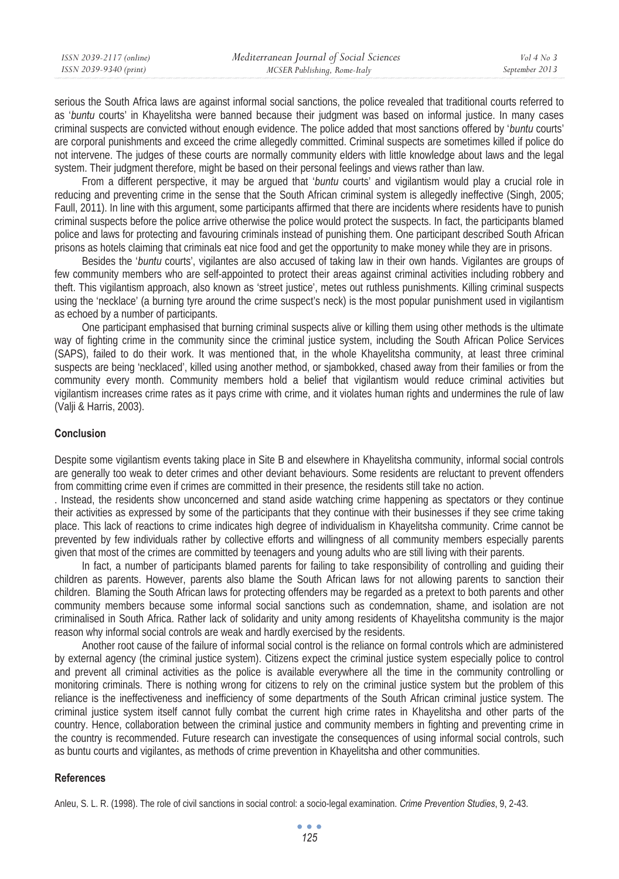| ISSN 2039-2117 (online) | Mediterranean Journal of Social Sciences | Vol 4 No 3     |
|-------------------------|------------------------------------------|----------------|
| ISSN 2039-9340 (print)  | MCSER Publishing, Rome-Italy             | September 2013 |

serious the South Africa laws are against informal social sanctions, the police revealed that traditional courts referred to as '*buntu* courts' in Khayelitsha were banned because their judgment was based on informal justice. In many cases criminal suspects are convicted without enough evidence. The police added that most sanctions offered by '*buntu* courts' are corporal punishments and exceed the crime allegedly committed. Criminal suspects are sometimes killed if police do not intervene. The judges of these courts are normally community elders with little knowledge about laws and the legal system. Their judgment therefore, might be based on their personal feelings and views rather than law.

From a different perspective, it may be argued that '*buntu* courts' and vigilantism would play a crucial role in reducing and preventing crime in the sense that the South African criminal system is allegedly ineffective (Singh, 2005; Faull, 2011). In line with this argument, some participants affirmed that there are incidents where residents have to punish criminal suspects before the police arrive otherwise the police would protect the suspects. In fact, the participants blamed police and laws for protecting and favouring criminals instead of punishing them. One participant described South African prisons as hotels claiming that criminals eat nice food and get the opportunity to make money while they are in prisons.

Besides the '*buntu* courts', vigilantes are also accused of taking law in their own hands. Vigilantes are groups of few community members who are self-appointed to protect their areas against criminal activities including robbery and theft. This vigilantism approach, also known as 'street justice', metes out ruthless punishments. Killing criminal suspects using the 'necklace' (a burning tyre around the crime suspect's neck) is the most popular punishment used in vigilantism as echoed by a number of participants.

One participant emphasised that burning criminal suspects alive or killing them using other methods is the ultimate way of fighting crime in the community since the criminal justice system, including the South African Police Services (SAPS), failed to do their work. It was mentioned that, in the whole Khayelitsha community, at least three criminal suspects are being 'necklaced', killed using another method, or sjambokked, chased away from their families or from the community every month. Community members hold a belief that vigilantism would reduce criminal activities but vigilantism increases crime rates as it pays crime with crime, and it violates human rights and undermines the rule of law (Valji & Harris, 2003).

#### **Conclusion**

Despite some vigilantism events taking place in Site B and elsewhere in Khayelitsha community, informal social controls are generally too weak to deter crimes and other deviant behaviours. Some residents are reluctant to prevent offenders from committing crime even if crimes are committed in their presence, the residents still take no action.

. Instead, the residents show unconcerned and stand aside watching crime happening as spectators or they continue their activities as expressed by some of the participants that they continue with their businesses if they see crime taking place. This lack of reactions to crime indicates high degree of individualism in Khayelitsha community. Crime cannot be prevented by few individuals rather by collective efforts and willingness of all community members especially parents given that most of the crimes are committed by teenagers and young adults who are still living with their parents.

In fact, a number of participants blamed parents for failing to take responsibility of controlling and guiding their children as parents. However, parents also blame the South African laws for not allowing parents to sanction their children. Blaming the South African laws for protecting offenders may be regarded as a pretext to both parents and other community members because some informal social sanctions such as condemnation, shame, and isolation are not criminalised in South Africa. Rather lack of solidarity and unity among residents of Khayelitsha community is the major reason why informal social controls are weak and hardly exercised by the residents.

Another root cause of the failure of informal social control is the reliance on formal controls which are administered by external agency (the criminal justice system). Citizens expect the criminal justice system especially police to control and prevent all criminal activities as the police is available everywhere all the time in the community controlling or monitoring criminals. There is nothing wrong for citizens to rely on the criminal justice system but the problem of this reliance is the ineffectiveness and inefficiency of some departments of the South African criminal justice system. The criminal justice system itself cannot fully combat the current high crime rates in Khayelitsha and other parts of the country. Hence, collaboration between the criminal justice and community members in fighting and preventing crime in the country is recommended. Future research can investigate the consequences of using informal social controls, such as buntu courts and vigilantes, as methods of crime prevention in Khayelitsha and other communities.

#### **References**

Anleu, S. L. R. (1998). The role of civil sanctions in social control: a socio-legal examination. *Crime Prevention Studies*, 9, 2-43.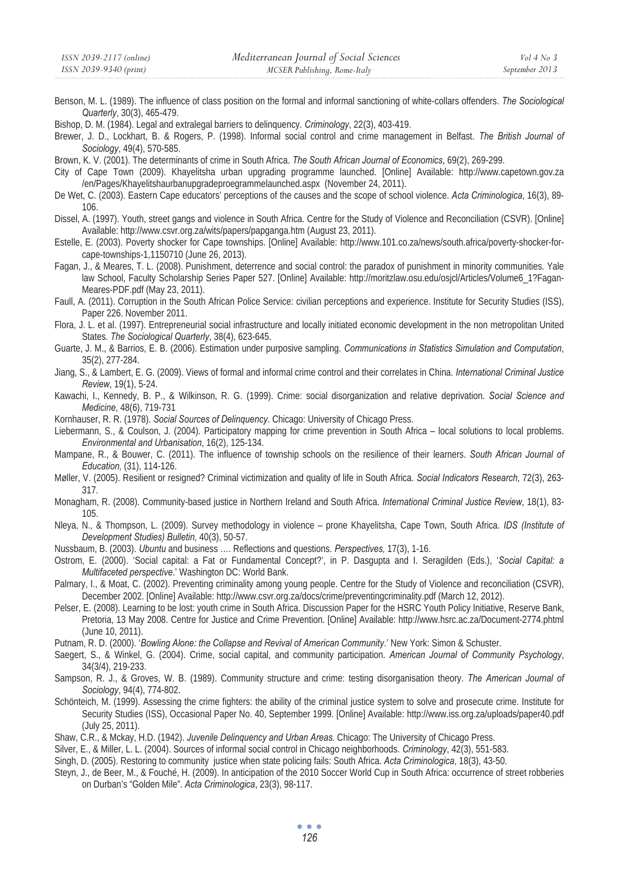Benson, M. L. (1989). The influence of class position on the formal and informal sanctioning of white-collars offenders. *The Sociological Quarterly*, 30(3), 465-479.

Bishop, D. M. (1984). Legal and extralegal barriers to delinquency. *Criminology*, 22(3), 403-419.

- Brewer, J. D., Lockhart, B. & Rogers, P. (1998). Informal social control and crime management in Belfast. *The British Journal of Sociology*, 49(4), 570-585.
- Brown, K. V. (2001). The determinants of crime in South Africa. *The South African Journal of Economics*, 69(2), 269-299.
- City of Cape Town (2009). Khayelitsha urban upgrading programme launched. [Online] Available: http://www.capetown.gov.za /en/Pages/Khayelitshaurbanupgradeproegrammelaunched.aspx (November 24, 2011).
- De Wet, C. (2003). Eastern Cape educators' perceptions of the causes and the scope of school violence. *Acta Criminologica*, 16(3), 89- 106.
- Dissel, A. (1997). Youth, street gangs and violence in South Africa. Centre for the Study of Violence and Reconciliation (CSVR). [Online] Available: http://www.csvr.org.za/wits/papers/papganga.htm (August 23, 2011).
- Estelle, E. (2003). Poverty shocker for Cape townships. [Online] Available: http://www.101.co.za/news/south.africa/poverty-shocker-forcape-townships-1,1150710 (June 26, 2013).
- Fagan, J., & Meares, T. L. (2008). Punishment, deterrence and social control: the paradox of punishment in minority communities. Yale law School, Faculty Scholarship Series Paper 527. [Online] Available: http://moritzlaw.osu.edu/osjcl/Articles/Volume6\_1?Fagan-Meares-PDF.pdf (May 23, 2011).
- Faull, A. (2011). Corruption in the South African Police Service: civilian perceptions and experience. Institute for Security Studies (ISS), Paper 226. November 2011.
- Flora, J. L. et al. (1997). Entrepreneurial social infrastructure and locally initiated economic development in the non metropolitan United States. *The Sociological Quarterly*, 38(4), 623-645.
- Guarte, J. M., & Barrios, E. B. (2006). Estimation under purposive sampling. *Communications in Statistics Simulation and Computation*, 35(2), 277-284.
- Jiang, S., & Lambert, E. G. (2009). Views of formal and informal crime control and their correlates in China. *International Criminal Justice Review*, 19(1), 5-24.
- Kawachi, I., Kennedy, B. P., & Wilkinson, R. G. (1999). Crime: social disorganization and relative deprivation. *Social Science and Medicine*, 48(6), 719-731
- Kornhauser, R. R. (1978). *Social Sources of Delinquency*. Chicago: University of Chicago Press.
- Liebermann, S., & Coulson, J. (2004). Participatory mapping for crime prevention in South Africa local solutions to local problems. *Environmental and Urbanisation*, 16(2), 125-134.
- Mampane, R., & Bouwer, C. (2011). The influence of township schools on the resilience of their learners. *South African Journal of Education,* (31), 114-126.
- Møller, V. (2005). Resilient or resigned? Criminal victimization and quality of life in South Africa. *Social Indicators Research*, 72(3), 263- 317.
- Monagham, R. (2008). Community-based justice in Northern Ireland and South Africa. *International Criminal Justice Review*, 18(1), 83- 105.
- Nleya, N., & Thompson, L. (2009). Survey methodology in violence prone Khayelitsha, Cape Town, South Africa. *IDS (Institute of Development Studies) Bulletin,* 40(3), 50-57.
- Nussbaum, B. (2003). *Ubuntu* and business …. Reflections and questions. *Perspectives,* 17(3), 1-16.
- Ostrom, E. (2000). 'Social capital: a Fat or Fundamental Concept?', in P. Dasgupta and I. Seragilden (Eds.), '*Social Capital: a Multifaceted perspective*.' Washington DC: World Bank.
- Palmary, I., & Moat, C. (2002). Preventing criminality among young people. Centre for the Study of Violence and reconciliation (CSVR), December 2002. [Online] Available: http://www.csvr.org.za/docs/crime/preventingcriminality.pdf (March 12, 2012).
- Pelser, E. (2008). Learning to be lost: youth crime in South Africa. Discussion Paper for the HSRC Youth Policy Initiative, Reserve Bank, Pretoria, 13 May 2008. Centre for Justice and Crime Prevention. [Online] Available: http://www.hsrc.ac.za/Document-2774.phtml (June 10, 2011).
- Putnam, R. D. (2000). '*Bowling Alone: the Collapse and Revival of American Community*.' New York: Simon & Schuster.
- Saegert, S., & Winkel, G. (2004). Crime, social capital, and community participation. *American Journal of Community Psychology*, 34(3/4), 219-233.
- Sampson, R. J., & Groves, W. B. (1989). Community structure and crime: testing disorganisation theory. *The American Journal of Sociology*, 94(4), 774-802.
- Schönteich, M. (1999). Assessing the crime fighters: the ability of the criminal justice system to solve and prosecute crime. Institute for Security Studies (ISS), Occasional Paper No. 40, September 1999. [Online] Available: http://www.iss.org.za/uploads/paper40.pdf (July 25, 2011).
- Shaw, C.R., & Mckay, H.D. (1942). *Juvenile Delinquency and Urban Areas.* Chicago: The University of Chicago Press.
- Silver, E., & Miller, L. L. (2004). Sources of informal social control in Chicago neighborhoods. *Criminology*, 42(3), 551-583.
- Singh, D. (2005). Restoring to community justice when state policing fails: South Africa. *Acta Criminologica*, 18(3), 43-50.
- Steyn, J., de Beer, M., & Fouché, H. (2009). In anticipation of the 2010 Soccer World Cup in South Africa: occurrence of street robberies on Durban's "Golden Mile". *Acta Criminologica*, 23(3), 98-117.